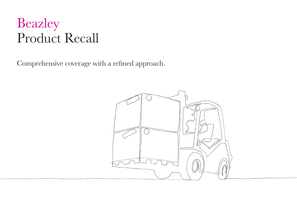Comprehensive coverage with a refined approach.

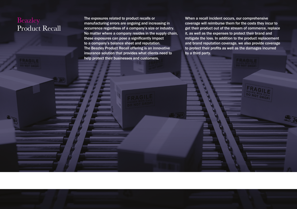The exposures related to product recalls or manufacturing errors are ongoing and increasing in occurrence regardless of a company's size or industry. No matter where a company resides in the supply chain, these exposures can pose a significantly impact to a company's balance sheet and reputation. The Beazley Product Recall offering is an innovative insurance solution that provides what clients need to help protect their businesses and customers.

When a recall incident occurs, our comprehensive coverage will reimburse them for the costs they incur to get their product out of the stream of commerce, replace it, as well as the expenses to protect their brand and mitigate the loss. In addition to the product replacement and brand reputation coverage, we also provide coverage to protect their profits as well as the damages incurred by a third party.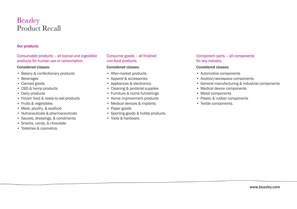#### Our products

Consumable products – all topical and ingestible products for human use or consumption

#### Considered classes:

- Bakery & confectionary products
- Beverages
- Canned goods
- • CBD & hemp products
- Dairy products
- Frozen food & ready-to eat-products
- • Fruits & vegetables
- Meat, poultry, & seafood
- • Nutraceuticals & pharmaceuticals
- • Sauces, dressings, & condiments
- Snacks, candy, & chocolate
- • Toiletries & cosmetics.

Consumer goods – all finished non-food products

#### Considered classes:

- After-market products
- • Apparel & accessories
- • Appliances & electronics
- Cleaning & janitorial supplies
- Furniture & home furnishings
- Home improvement products
- Medical devices & implants
- Paper goods
- Sporting goods & hobby products
- Tools & hardware.

#### Component parts – all components for any industry

#### Considered classes:

- Automotive components
- • Aviation/aerospace components
- • General manufacturing & industrial components
- Medical device components
- • Metal components
- Plastic & rubber components
- • Textile components.